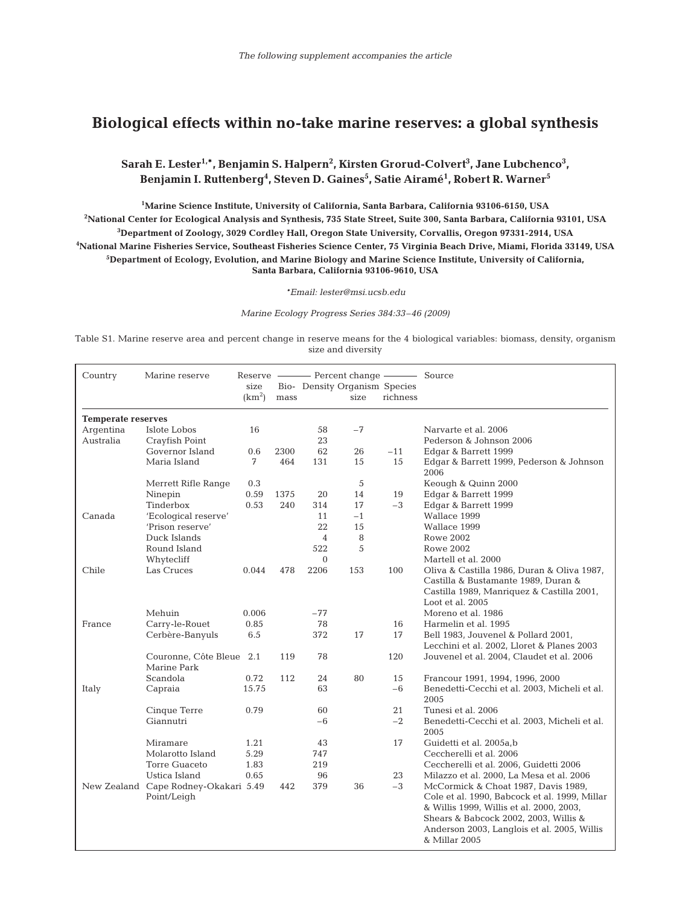## **Biological effects within no-take marine reserves: a global synthesis**

**Sarah E. Lester1,\*, Benjamin S. Halpern2 , Kirsten Grorud-Colvert3 , Jane Lubchenco3 ,** Benjamin I. Ruttenberg<sup>4</sup>, Steven D. Gaines<sup>5</sup>, Satie Airamé<sup>1</sup>, Robert R. Warner<sup>5</sup>

 **Marine Science Institute, University of California, Santa Barbara, California 93106-6150, USA National Center for Ecological Analysis and Synthesis, 735 State Street, Suite 300, Santa Barbara, California 93101, USA Department of Zoology, 3029 Cordley Hall, Oregon State University, Corvallis, Oregon 97331-2914, USA National Marine Fisheries Service, Southeast Fisheries Science Center, 75 Virginia Beach Drive, Miami, Florida 33149, USA Department of Ecology, Evolution, and Marine Biology and Marine Science Institute, University of California, Santa Barbara, California 93106-9610, USA**

*\*Email: lester@msi.ucsb.edu*

*Marine Ecology Progress Series 384:33–46 (2009)*

Table S1. Marine reserve area and percent change in reserve means for the 4 biological variables: biomass, density, organism size and diversity

| Country                   | Marine reserve                           |                    |             |                               |            |            |                                                               |  |
|---------------------------|------------------------------------------|--------------------|-------------|-------------------------------|------------|------------|---------------------------------------------------------------|--|
|                           |                                          | size               |             | Bio- Density Organism Species |            |            |                                                               |  |
|                           |                                          | (km <sup>2</sup> ) | mass        |                               | size       | richness   |                                                               |  |
| <b>Temperate reserves</b> |                                          |                    |             |                               |            |            |                                                               |  |
| Argentina                 | Islote Lobos                             | 16                 |             | 58                            | $-7$       |            | Narvarte et al. 2006                                          |  |
| Australia                 | Crayfish Point                           |                    |             | 23                            |            |            | Pederson & Johnson 2006                                       |  |
|                           | Governor Island                          | 0.6                | 2300        | 62                            | 26         | $-11$      | Edgar & Barrett 1999                                          |  |
|                           | Maria Island                             | 7                  | 464         | 131                           | 15         | 15         | Edgar & Barrett 1999, Pederson & Johnson                      |  |
|                           |                                          |                    |             |                               | 5          |            | 2006<br>Keough & Quinn 2000                                   |  |
|                           | Merrett Rifle Range                      | 0.3<br>0.59        |             |                               |            |            |                                                               |  |
|                           | Ninepin<br>Tinderbox                     | 0.53               | 1375<br>240 | 20<br>314                     | 14<br>17   | 19<br>$-3$ | Edgar & Barrett 1999                                          |  |
|                           |                                          |                    |             |                               |            |            | Edgar & Barrett 1999                                          |  |
| Canada                    | 'Ecological reserve'<br>'Prison reserve' |                    |             | 11<br>22                      | $-1$<br>15 |            | Wallace 1999<br>Wallace 1999                                  |  |
|                           | Duck Islands                             |                    |             | $\overline{4}$                | 8          |            |                                                               |  |
|                           | Round Island                             |                    |             | 522                           | 5          |            | <b>Rowe 2002</b>                                              |  |
|                           |                                          |                    |             | $\Omega$                      |            |            | <b>Rowe 2002</b>                                              |  |
| Chile                     | Whytecliff                               | 0.044              | 478         |                               |            |            | Martell et al. 2000                                           |  |
|                           | Las Cruces                               |                    |             | 2206                          | 153        | 100        | Oliva & Castilla 1986, Duran & Oliva 1987,                    |  |
|                           |                                          |                    |             |                               |            |            | Castilla & Bustamante 1989, Duran &                           |  |
|                           |                                          |                    |             |                               |            |            | Castilla 1989, Manriquez & Castilla 2001,<br>Loot et al. 2005 |  |
|                           | Mehuin                                   | 0.006              |             | $-77$                         |            |            | Moreno et al. 1986                                            |  |
| France                    | Carry-le-Rouet                           | 0.85               |             | 78                            |            | 16         | Harmelin et al. 1995                                          |  |
|                           | Cerbère-Banyuls                          | 6.5                |             | 372                           | 17         | 17         | Bell 1983, Jouvenel & Pollard 2001,                           |  |
|                           |                                          |                    |             |                               |            |            | Lecchini et al. 2002, Lloret & Planes 2003                    |  |
|                           | Couronne, Côte Bleue 2.1                 |                    | 119         | 78                            |            | 120        | Jouvenel et al. 2004, Claudet et al. 2006                     |  |
|                           | Marine Park                              |                    |             |                               |            |            |                                                               |  |
|                           | Scandola                                 | 0.72               | 112         | 24                            | 80         | 15         | Francour 1991, 1994, 1996, 2000                               |  |
| Italy                     | Capraia                                  | 15.75              |             | 63                            |            | $-6$       | Benedetti-Cecchi et al. 2003, Micheli et al.                  |  |
|                           |                                          |                    |             |                               |            |            | 2005                                                          |  |
|                           | Cinque Terre                             | 0.79               |             | 60                            |            | 21         | Tunesi et al. 2006                                            |  |
|                           | Giannutri                                |                    |             | $-6$                          |            | $-2$       | Benedetti-Cecchi et al. 2003, Micheli et al.<br>2005          |  |
|                           | Miramare                                 | 1.21               |             | 43                            |            | 17         | Guidetti et al. 2005a,b                                       |  |
|                           | Molarotto Island                         | 5.29               |             | 747                           |            |            | Ceccherelli et al. 2006                                       |  |
|                           | <b>Torre Guaceto</b>                     | 1.83               |             | 219                           |            |            | Ceccherelli et al. 2006, Guidetti 2006                        |  |
|                           | Ustica Island                            | 0.65               |             | 96                            |            | 23         | Milazzo et al. 2000, La Mesa et al. 2006                      |  |
|                           | New Zealand Cape Rodney-Okakari 5.49     |                    | 442         | 379                           | 36         | $-3$       | McCormick & Choat 1987, Davis 1989,                           |  |
|                           | Point/Leigh                              |                    |             |                               |            |            | Cole et al. 1990, Babcock et al. 1999, Millar                 |  |
|                           |                                          |                    |             |                               |            |            | & Willis 1999, Willis et al. 2000, 2003,                      |  |
|                           |                                          |                    |             |                               |            |            | Shears & Babcock 2002, 2003, Willis &                         |  |
|                           |                                          |                    |             |                               |            |            | Anderson 2003, Langlois et al. 2005, Willis                   |  |
|                           |                                          |                    |             |                               |            |            | & Millar 2005                                                 |  |
|                           |                                          |                    |             |                               |            |            |                                                               |  |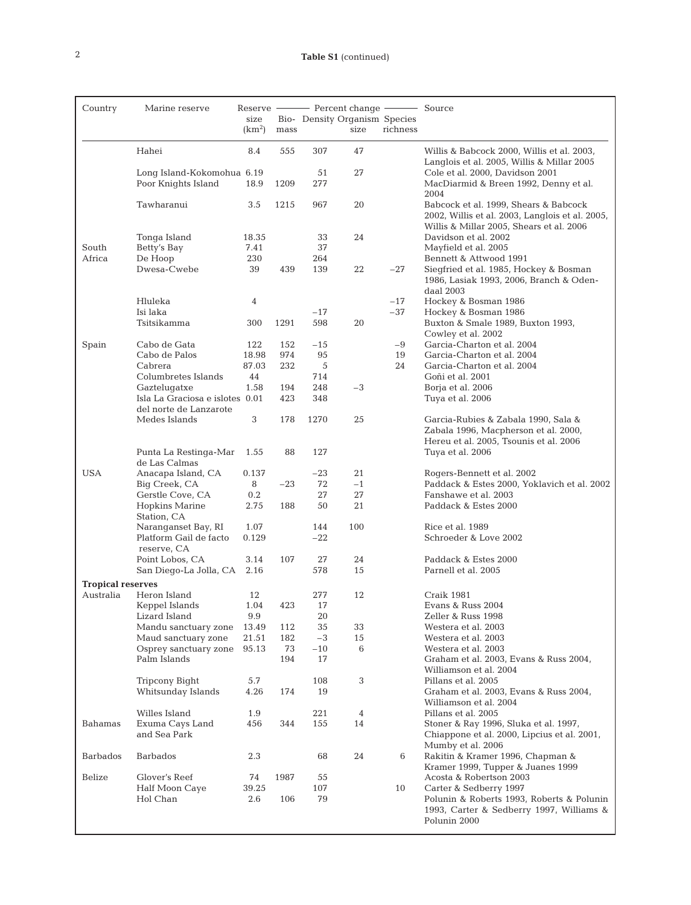| Country                  | Marine reserve                                               | size<br>(km <sup>2</sup> ) | mass      |              | Bio- Density Organism Species<br>size | richness |                                                                                                                                      |
|--------------------------|--------------------------------------------------------------|----------------------------|-----------|--------------|---------------------------------------|----------|--------------------------------------------------------------------------------------------------------------------------------------|
|                          | Hahei                                                        | 8.4                        | 555       | 307          | 47                                    |          | Willis & Babcock 2000, Willis et al. 2003,<br>Langlois et al. 2005, Willis & Millar 2005                                             |
|                          | Long Island-Kokomohua 6.19<br>Poor Knights Island            | 18.9                       | 1209      | 51<br>277    | 27                                    |          | Cole et al. 2000, Davidson 2001<br>MacDiarmid & Breen 1992, Denny et al.<br>2004                                                     |
|                          | Tawharanui                                                   | 3.5                        | 1215      | 967          | 20                                    |          | Babcock et al. 1999, Shears & Babcock<br>2002, Willis et al. 2003, Langlois et al. 2005,<br>Willis & Millar 2005, Shears et al. 2006 |
|                          | Tonga Island                                                 | 18.35                      |           | 33           | 24                                    |          | Davidson et al. 2002                                                                                                                 |
| South<br>Africa          | Betty's Bay<br>De Hoop                                       | 7.41<br>230                |           | 37<br>264    |                                       |          | Mayfield et al. 2005<br>Bennett & Attwood 1991                                                                                       |
|                          | Dwesa-Cwebe                                                  | 39                         | 439       | 139          | 22                                    | $-27$    | Siegfried et al. 1985, Hockey & Bosman<br>1986, Lasiak 1993, 2006, Branch & Oden-<br>daal 2003                                       |
|                          | Hluleka                                                      | 4                          |           |              |                                       | $-17$    | Hockey & Bosman 1986                                                                                                                 |
|                          | Isi laka                                                     |                            |           | $-17$        |                                       | $-37$    | Hockey & Bosman 1986                                                                                                                 |
|                          | Tsitsikamma                                                  | 300                        | 1291      | 598          | 20                                    |          | Buxton & Smale 1989, Buxton 1993,<br>Cowley et al. 2002                                                                              |
| Spain                    | Cabo de Gata                                                 | 122                        | 152       | $-15$        |                                       | $-9$     | Garcia-Charton et al. 2004                                                                                                           |
|                          | Cabo de Palos                                                | 18.98                      | 974       | 95           |                                       | 19       | Garcia-Charton et al. 2004                                                                                                           |
|                          | Cabrera<br>Columbretes Islands                               | 87.03<br>44                | 232       | 5<br>714     |                                       | 24       | Garcia-Charton et al. 2004<br>Goñi et al. 2001                                                                                       |
|                          | Gaztelugatxe                                                 | 1.58                       | 194       | 248          | $-3$                                  |          | Borja et al. 2006                                                                                                                    |
|                          | Isla La Graciosa e islotes 0.01                              |                            | 423       | 348          |                                       |          | Tuya et al. 2006                                                                                                                     |
|                          | del norte de Lanzarote                                       |                            |           |              |                                       |          |                                                                                                                                      |
|                          | Medes Islands                                                | $\sqrt{3}$                 | 178       | 1270         | 25                                    |          | Garcia-Rubies & Zabala 1990, Sala &<br>Zabala 1996, Macpherson et al. 2000,                                                          |
|                          | Punta La Restinga-Mar<br>de Las Calmas                       | 1.55                       | 88        | 127          |                                       |          | Hereu et al. 2005, Tsounis et al. 2006<br>Tuya et al. 2006                                                                           |
| <b>USA</b>               | Anacapa Island, CA                                           | 0.137                      |           | $-23$        | 21                                    |          | Rogers-Bennett et al. 2002                                                                                                           |
|                          | Big Creek, CA                                                | 8                          | $-23$     | 72           | $-1$                                  |          | Paddack & Estes 2000, Yoklavich et al. 2002                                                                                          |
|                          | Gerstle Cove, CA                                             | 0.2                        |           | 27           | 27                                    |          | Fanshawe et al. 2003                                                                                                                 |
|                          | <b>Hopkins Marine</b><br>Station, CA                         | 2.75                       | 188       | 50           | 21                                    |          | Paddack & Estes 2000                                                                                                                 |
|                          | Naranganset Bay, RI<br>Platform Gail de facto<br>reserve, CA | 1.07<br>0.129              |           | 144<br>$-22$ | 100                                   |          | Rice et al. 1989<br>Schroeder & Love 2002                                                                                            |
|                          | Point Lobos, CA                                              | 3.14                       | 107       | 27           | 24                                    |          | Paddack & Estes 2000                                                                                                                 |
| <b>Tropical reserves</b> | San Diego-La Jolla, CA                                       | 2.16                       |           | 578          | 15                                    |          | Parnell et al. 2005                                                                                                                  |
| Australia                | Heron Island                                                 | 12                         |           | 277          | 12                                    |          | Craik 1981                                                                                                                           |
|                          | Keppel Islands                                               | 1.04                       | 423       | 17           |                                       |          | Evans & Russ 2004                                                                                                                    |
|                          | Lizard Island                                                | 9.9                        |           | 20           |                                       |          | Zeller & Russ 1998                                                                                                                   |
|                          | Mandu sanctuary zone                                         | 13.49                      | 112       | 35           | 33                                    |          | Westera et al. 2003                                                                                                                  |
|                          | Maud sanctuary zone                                          | 21.51                      | 182       | $-3$         | 15                                    |          | Westera et al. 2003                                                                                                                  |
|                          | Osprey sanctuary zone<br>Palm Islands                        | 95.13                      | 73<br>194 | $-10$<br>17  | 6                                     |          | Westera et al. 2003<br>Graham et al. 2003, Evans & Russ 2004,                                                                        |
|                          |                                                              |                            |           |              |                                       |          | Williamson et al. 2004                                                                                                               |
|                          | <b>Tripcony Bight</b><br>Whitsunday Islands                  | 5.7<br>4.26                | 174       | 108<br>19    | 3                                     |          | Pillans et al. 2005<br>Graham et al. 2003, Evans & Russ 2004,                                                                        |
|                          |                                                              |                            |           |              |                                       |          | Williamson et al. 2004                                                                                                               |
| Bahamas                  | Willes Island<br>Exuma Cays Land                             | 1.9<br>456                 | 344       | 221<br>155   | 4<br>14                               |          | Pillans et al. 2005<br>Stoner & Ray 1996, Sluka et al. 1997,                                                                         |
|                          | and Sea Park                                                 |                            |           |              |                                       |          | Chiappone et al. 2000, Lipcius et al. 2001,<br>Mumby et al. 2006                                                                     |
| Barbados                 | <b>Barbados</b>                                              | 2.3                        |           | 68           | 24                                    | 6        | Rakitin & Kramer 1996, Chapman &<br>Kramer 1999, Tupper & Juanes 1999                                                                |
| Belize                   | Glover's Reef                                                | 74                         | 1987      | 55           |                                       |          | Acosta & Robertson 2003                                                                                                              |
|                          | Half Moon Caye<br>Hol Chan                                   | 39.25<br>2.6               | 106       | 107<br>79    |                                       | 10       | Carter & Sedberry 1997<br>Polunin & Roberts 1993, Roberts & Polunin<br>1993, Carter & Sedberry 1997, Williams &<br>Polunin 2000      |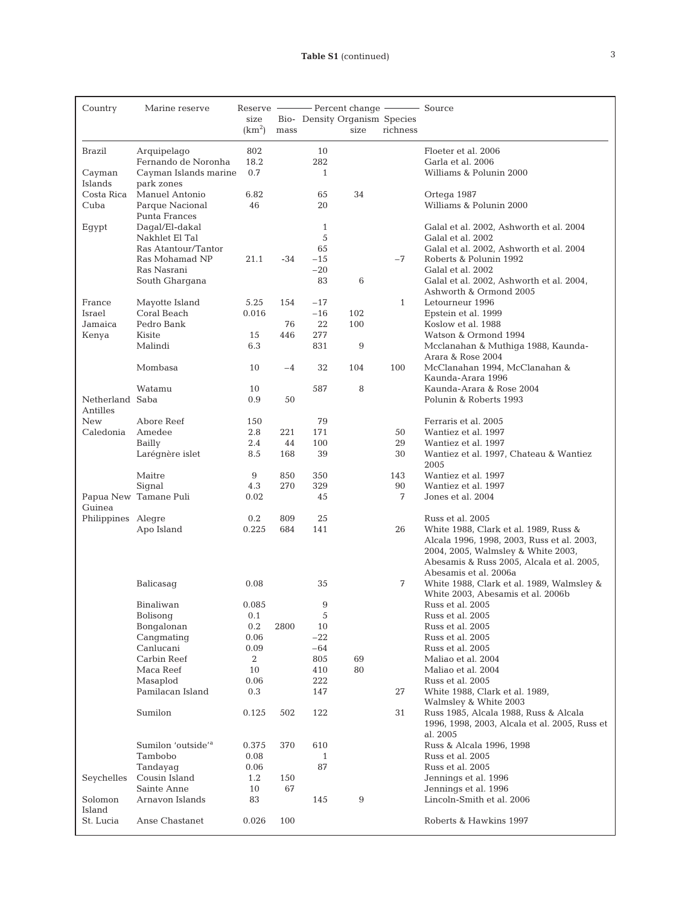| Country            | Marine reserve                        |                    |           |                               |            |              |                                                                                 |
|--------------------|---------------------------------------|--------------------|-----------|-------------------------------|------------|--------------|---------------------------------------------------------------------------------|
|                    |                                       | size               |           | Bio- Density Organism Species |            |              |                                                                                 |
|                    |                                       | (km <sup>2</sup> ) | mass      |                               | size       | richness     |                                                                                 |
| <b>Brazil</b>      | Arquipelago                           | 802                |           | 10                            |            |              | Floeter et al. 2006                                                             |
|                    | Fernando de Noronha                   | 18.2               |           | 282                           |            |              | Garla et al. 2006                                                               |
| Cayman             | Cayman Islands marine                 | 0.7                |           | $\mathbf{1}$                  |            |              | Williams & Polunin 2000                                                         |
| Islands            | park zones                            |                    |           |                               |            |              |                                                                                 |
| Costa Rica<br>Cuba | Manuel Antonio<br>Parque Nacional     | 6.82<br>46         |           | 65<br>20                      | 34         |              | Ortega 1987<br>Williams & Polunin 2000                                          |
|                    | Punta Frances                         |                    |           |                               |            |              |                                                                                 |
| Egypt              | Dagal/El-dakal                        |                    |           | $\mathbf{1}$                  |            |              | Galal et al. 2002, Ashworth et al. 2004                                         |
|                    | Nakhlet El Tal                        |                    |           | 5                             |            |              | Galal et al. 2002                                                               |
|                    | Ras Atantour/Tantor<br>Ras Mohamad NP | 21.1               | $-34$     | 65<br>$-15$                   |            | -7           | Galal et al. 2002, Ashworth et al. 2004<br>Roberts & Polunin 1992               |
|                    | Ras Nasrani                           |                    |           | $-20$                         |            |              | Galal et al. 2002                                                               |
|                    | South Ghargana                        |                    |           | 83                            | 6          |              | Galal et al. 2002, Ashworth et al. 2004,                                        |
|                    |                                       |                    |           |                               |            |              | Ashworth & Ormond 2005                                                          |
| France             | Mayotte Island                        | 5.25               | 154       | $-17$                         |            | $\mathbf{1}$ | Letourneur 1996                                                                 |
| Israel<br>Jamaica  | Coral Beach<br>Pedro Bank             | 0.016              | 76        | $-16$<br>22                   | 102<br>100 |              | Epstein et al. 1999<br>Koslow et al. 1988                                       |
| Kenya              | Kisite                                | 15                 | 446       | 277                           |            |              | Watson & Ormond 1994                                                            |
|                    | Malindi                               | 6.3                |           | 831                           | 9          |              | Mcclanahan & Muthiga 1988, Kaunda-                                              |
|                    |                                       |                    |           |                               |            |              | Arara & Rose 2004                                                               |
|                    | Mombasa                               | 10                 | $-4$      | 32                            | 104        | 100          | McClanahan 1994, McClanahan &                                                   |
|                    | Watamu                                | 10                 |           | 587                           | 8          |              | Kaunda-Arara 1996<br>Kaunda-Arara & Rose 2004                                   |
| Netherland Saba    |                                       | 0.9                | 50        |                               |            |              | Polunin & Roberts 1993                                                          |
| Antilles           |                                       |                    |           |                               |            |              |                                                                                 |
| <b>New</b>         | Abore Reef                            | 150                |           | 79                            |            |              | Ferraris et al. 2005                                                            |
| Caledonia          | Amedee<br>Bailly                      | 2.8<br>2.4         | 221<br>44 | 171<br>100                    |            | 50<br>29     | Wantiez et al. 1997<br>Wantiez et al. 1997                                      |
|                    | Larégnère islet                       | 8.5                | 168       | 39                            |            | 30           | Wantiez et al. 1997, Chateau & Wantiez                                          |
|                    |                                       |                    |           |                               |            |              | 2005                                                                            |
|                    | Maitre                                | 9                  | 850       | 350                           |            | 143          | Wantiez et al. 1997                                                             |
|                    | Signal                                | 4.3                | 270       | 329                           |            | 90           | Wantiez et al. 1997                                                             |
| Guinea             | Papua New Tamane Puli                 | 0.02               |           | 45                            |            | 7            | Jones et al. 2004                                                               |
| Philippines Alegre |                                       | 0.2                | 809       | 25                            |            |              | Russ et al. 2005                                                                |
|                    | Apo Island                            | 0.225              | 684       | 141                           |            | 26           | White 1988, Clark et al. 1989, Russ &                                           |
|                    |                                       |                    |           |                               |            |              | Alcala 1996, 1998, 2003, Russ et al. 2003,                                      |
|                    |                                       |                    |           |                               |            |              | 2004, 2005, Walmsley & White 2003,<br>Abesamis & Russ 2005, Alcala et al. 2005, |
|                    |                                       |                    |           |                               |            |              | Abesamis et al. 2006a                                                           |
|                    | Balicasag                             | 0.08               |           | 35                            |            | 7            | White 1988, Clark et al. 1989, Walmsley &                                       |
|                    |                                       |                    |           |                               |            |              | White 2003, Abesamis et al. 2006b                                               |
|                    | Binaliwan                             | 0.085              |           | 9                             |            |              | Russ et al. 2005                                                                |
|                    | Bolisonq<br>Bongalonan                | 0.1<br>$0.2\,$     | 2800      | $\sqrt{5}$<br>10              |            |              | Russ et al. 2005<br>Russ et al. 2005                                            |
|                    | Cangmating                            | 0.06               |           | $-22$                         |            |              | Russ et al. 2005                                                                |
|                    | Canlucani                             | 0.09               |           | $-64$                         |            |              | Russ et al. 2005                                                                |
|                    | Carbin Reef                           | 2                  |           | 805                           | 69         |              | Maliao et al. 2004                                                              |
|                    | Maca Reef                             | 10                 |           | 410                           | 80         |              | Maliao et al. 2004                                                              |
|                    | Masaplod<br>Pamilacan Island          | 0.06<br>$0.3\,$    |           | 222<br>147                    |            | 27           | Russ et al. 2005<br>White 1988, Clark et al. 1989,                              |
|                    |                                       |                    |           |                               |            |              | Walmsley & White 2003                                                           |
|                    | Sumilon                               | 0.125              | 502       | 122                           |            | 31           | Russ 1985, Alcala 1988, Russ & Alcala                                           |
|                    |                                       |                    |           |                               |            |              | 1996, 1998, 2003, Alcala et al. 2005, Russ et                                   |
|                    | Sumilon 'outside' <sup>a</sup>        |                    | 370       |                               |            |              | al. 2005<br>Russ & Alcala 1996, 1998                                            |
|                    | Tambobo                               | 0.375<br>0.08      |           | 610<br>1                      |            |              | Russ et al. 2005                                                                |
|                    | Tandayaq                              | 0.06               |           | 87                            |            |              | Russ et al. 2005                                                                |
| Seychelles         | Cousin Island                         | 1.2                | 150       |                               |            |              | Jennings et al. 1996                                                            |
|                    | Sainte Anne                           | 10                 | 67        |                               |            |              | Jennings et al. 1996                                                            |
| Solomon<br>Island  | Arnavon Islands                       | 83                 |           | 145                           | $9\,$      |              | Lincoln-Smith et al. 2006                                                       |
| St. Lucia          | Anse Chastanet                        | 0.026              | 100       |                               |            |              | Roberts & Hawkins 1997                                                          |
|                    |                                       |                    |           |                               |            |              |                                                                                 |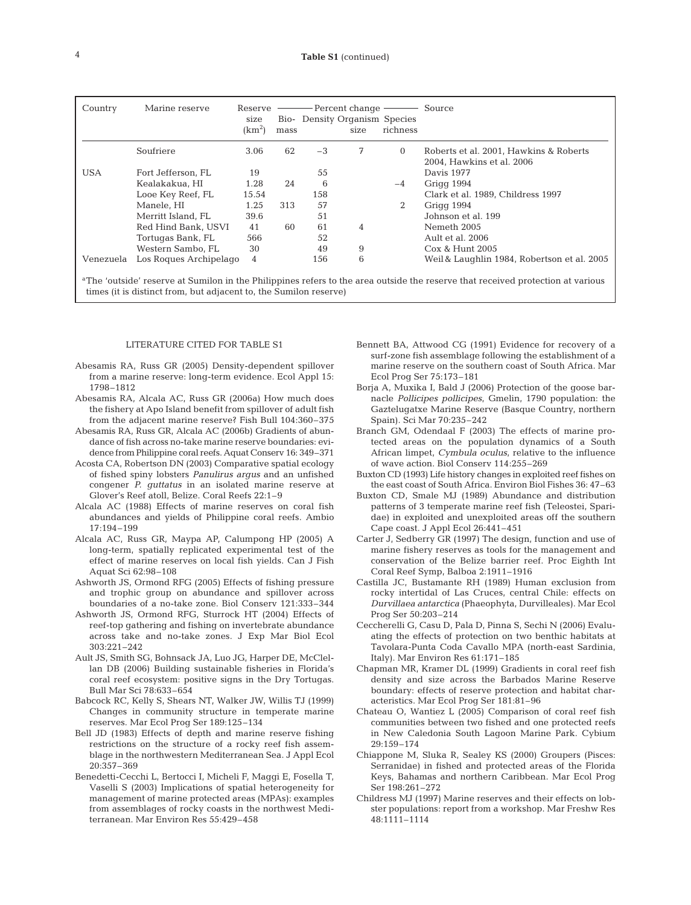| Country    | Marine reserve         | size<br>(km <sup>2</sup> ) | mass | Bio- Density Organism Species | size | richness | Source                                      |
|------------|------------------------|----------------------------|------|-------------------------------|------|----------|---------------------------------------------|
|            | Soufriere              | 3.06                       | 62   | $-3$                          | 7    | $\Omega$ | Roberts et al. 2001, Hawkins & Roberts      |
|            |                        |                            |      |                               |      |          | 2004, Hawkins et al. 2006                   |
| <b>USA</b> | Fort Jefferson, FL     | 19                         |      | 55                            |      |          | Davis 1977                                  |
|            | Kealakakua, HI         | 1.28                       | 24   | 6                             |      | $-4$     | Grigg 1994                                  |
|            | Looe Key Reef, FL      | 15.54                      |      | 158                           |      |          | Clark et al. 1989, Childress 1997           |
|            | Manele, HI             | 1.25                       | 313  | 57                            |      | 2        | Grigg 1994                                  |
|            | Merritt Island, FL     | 39.6                       |      | 51                            |      |          | Johnson et al. 199                          |
|            | Red Hind Bank, USVI    | 41                         | 60   | 61                            | 4    |          | Nemeth 2005                                 |
|            | Tortugas Bank, FL      | 566                        |      | 52                            |      |          | Ault et al. 2006                            |
|            | Western Sambo, FL      | 30                         |      | 49                            | 9    |          | Cox & Hunt 2005                             |
| Venezuela  | Los Roques Archipelago | 4                          |      | 156                           | 6    |          | Weil & Laughlin 1984, Robertson et al. 2005 |
|            |                        |                            |      |                               |      |          |                                             |

The 'outside' reserve at Sumilon in the Philippines refers to the area outside the reserve that received protection at various times (it is distinct from, but adjacent to, the Sumilon reserve)

## LITERATURE CITED FOR TABLE S1

- Abesamis RA, Russ GR (2005) Density-dependent spillover from a marine reserve: long-term evidence. Ecol Appl 15: 1798–1812
- Abesamis RA, Alcala AC, Russ GR (2006a) How much does the fishery at Apo Island benefit from spillover of adult fish from the adjacent marine reserve? Fish Bull 104:360–375
- Abesamis RA, Russ GR, Alcala AC (2006b) Gradients of abundance of fish across no-take marine reserve boundaries: evidence from Philippine coral reefs. Aquat Conserv 16: 349–371
- Acosta CA, Robertson DN (2003) Comparative spatial ecology of fished spiny lobsters *Panulirus argus* and an unfished congener *P. guttatus* in an isolated marine reserve at Glover's Reef atoll, Belize. Coral Reefs 22:1–9
- Alcala AC (1988) Effects of marine reserves on coral fish abundances and yields of Philippine coral reefs. Ambio 17:194–199
- Alcala AC, Russ GR, Maypa AP, Calumpong HP (2005) A long-term, spatially replicated experimental test of the effect of marine reserves on local fish yields. Can J Fish Aquat Sci 62:98–108
- Ashworth JS, Ormond RFG (2005) Effects of fishing pressure and trophic group on abundance and spillover across boundaries of a no-take zone. Biol Conserv 121:333–344
- Ashworth JS, Ormond RFG, Sturrock HT (2004) Effects of reef-top gathering and fishing on invertebrate abundance across take and no-take zones. J Exp Mar Biol Ecol 303:221–242
- Ault JS, Smith SG, Bohnsack JA, Luo JG, Harper DE, McClellan DB (2006) Building sustainable fisheries in Florida's coral reef ecosystem: positive signs in the Dry Tortugas. Bull Mar Sci 78:633–654
- Babcock RC, Kelly S, Shears NT, Walker JW, Willis TJ (1999) Changes in community structure in temperate marine reserves. Mar Ecol Prog Ser 189:125–134
- Bell JD (1983) Effects of depth and marine reserve fishing restrictions on the structure of a rocky reef fish assemblage in the northwestern Mediterranean Sea. J Appl Ecol 20:357–369
- Benedetti-Cecchi L, Bertocci I, Micheli F, Maggi E, Fosella T, Vaselli S (2003) Implications of spatial heterogeneity for management of marine protected areas (MPAs): examples from assemblages of rocky coasts in the northwest Mediterranean. Mar Environ Res 55:429–458
- Bennett BA, Attwood CG (1991) Evidence for recovery of a surf-zone fish assemblage following the establishment of a marine reserve on the southern coast of South Africa. Mar Ecol Prog Ser 75:173–181
- Borja A, Muxika I, Bald J (2006) Protection of the goose barnacle *Pollicipes pollicipes*, Gmelin, 1790 population: the Gaztelugatxe Marine Reserve (Basque Country, northern Spain). Sci Mar 70:235–242
- Branch GM, Odendaal F (2003) The effects of marine protected areas on the population dynamics of a South African limpet, *Cymbula oculus*, relative to the influence of wave action. Biol Conserv 114:255–269
- Buxton CD (1993) Life history changes in exploited reef fishes on the east coast of South Africa. Environ Biol Fishes 36: 47–63
- Buxton CD, Smale MJ (1989) Abundance and distribution patterns of 3 temperate marine reef fish (Teleostei, Sparidae) in exploited and unexploited areas off the southern Cape coast. J Appl Ecol 26:441–451
- Carter J, Sedberry GR (1997) The design, function and use of marine fishery reserves as tools for the management and conservation of the Belize barrier reef. Proc Eighth Int Coral Reef Symp, Balboa 2:1911–1916
- Castilla JC, Bustamante RH (1989) Human exclusion from rocky intertidal of Las Cruces, central Chile: effects on *Durvillaea antarctica* (Phaeophyta, Durvilleales). Mar Ecol Prog Ser 50:203–214
- Ceccherelli G, Casu D, Pala D, Pinna S, Sechi N (2006) Evaluating the effects of protection on two benthic habitats at Tavolara-Punta Coda Cavallo MPA (north-east Sardinia, Italy). Mar Environ Res 61:171–185
- Chapman MR, Kramer DL (1999) Gradients in coral reef fish density and size across the Barbados Marine Reserve boundary: effects of reserve protection and habitat characteristics. Mar Ecol Prog Ser 181:81–96
- Chateau O, Wantiez L (2005) Comparison of coral reef fish communities between two fished and one protected reefs in New Caledonia South Lagoon Marine Park. Cybium 29:159–174
- Chiappone M, Sluka R, Sealey KS (2000) Groupers (Pisces: Serranidae) in fished and protected areas of the Florida Keys, Bahamas and northern Caribbean. Mar Ecol Prog Ser 198:261–272
- Childress MJ (1997) Marine reserves and their effects on lobster populations: report from a workshop. Mar Freshw Res 48:1111–1114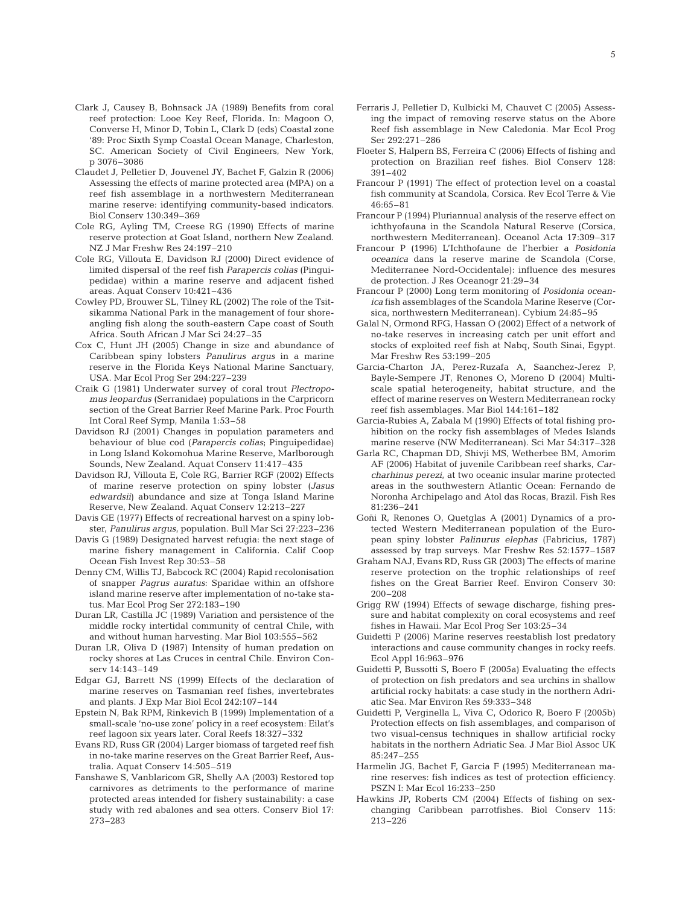- Clark J, Causey B, Bohnsack JA (1989) Benefits from coral reef protection: Looe Key Reef, Florida. In: Magoon O, Converse H, Minor D, Tobin L, Clark D (eds) Coastal zone '89: Proc Sixth Symp Coastal Ocean Manage, Charleston, SC. American Society of Civil Engineers, New York, p 3076–3086
- Claudet J, Pelletier D, Jouvenel JY, Bachet F, Galzin R (2006) Assessing the effects of marine protected area (MPA) on a reef fish assemblage in a northwestern Mediterranean marine reserve: identifying community-based indicators. Biol Conserv 130:349–369
- Cole RG, Ayling TM, Creese RG (1990) Effects of marine reserve protection at Goat Island, northern New Zealand. NZ J Mar Freshw Res 24:197–210
- Cole RG, Villouta E, Davidson RJ (2000) Direct evidence of limited dispersal of the reef fish *Parapercis colias* (Pinguipedidae) within a marine reserve and adjacent fished areas. Aquat Conserv 10:421–436
- Cowley PD, Brouwer SL, Tilney RL (2002) The role of the Tsitsikamma National Park in the management of four shoreangling fish along the south-eastern Cape coast of South Africa. South African J Mar Sci 24:27–35
- Cox C, Hunt JH (2005) Change in size and abundance of Caribbean spiny lobsters *Panulirus argus* in a marine reserve in the Florida Keys National Marine Sanctuary, USA. Mar Ecol Prog Ser 294:227–239
- Craik G (1981) Underwater survey of coral trout *Plectropomus leopardus* (Serranidae) populations in the Carpricorn section of the Great Barrier Reef Marine Park. Proc Fourth Int Coral Reef Symp, Manila 1:53–58
- Davidson RJ (2001) Changes in population parameters and behaviour of blue cod (*Parapercis colias*; Pinguipedidae) in Long Island Kokomohua Marine Reserve, Marlborough Sounds, New Zealand. Aquat Conserv 11:417–435
- Davidson RJ, Villouta E, Cole RG, Barrier RGF (2002) Effects of marine reserve protection on spiny lobster (*Jasus edwardsii*) abundance and size at Tonga Island Marine Reserve, New Zealand. Aquat Conserv 12:213–227
- Davis GE (1977) Effects of recreational harvest on a spiny lobster, *Panulirus argus*, population. Bull Mar Sci 27:223–236
- Davis G (1989) Designated harvest refugia: the next stage of marine fishery management in California. Calif Coop Ocean Fish Invest Rep 30:53–58
- Denny CM, Willis TJ, Babcock RC (2004) Rapid recolonisation of snapper *Pagrus auratus*: Sparidae within an offshore island marine reserve after implementation of no-take status. Mar Ecol Prog Ser 272:183–190
- Duran LR, Castilla JC (1989) Variation and persistence of the middle rocky intertidal community of central Chile, with and without human harvesting. Mar Biol 103:555–562
- Duran LR, Oliva D (1987) Intensity of human predation on rocky shores at Las Cruces in central Chile. Environ Conserv 14:143–149
- Edgar GJ, Barrett NS (1999) Effects of the declaration of marine reserves on Tasmanian reef fishes, invertebrates and plants. J Exp Mar Biol Ecol 242:107–144
- Epstein N, Bak RPM, Rinkevich B (1999) Implementation of a small-scale 'no-use zone' policy in a reef ecosystem: Eilat's reef lagoon six years later. Coral Reefs 18:327–332
- Evans RD, Russ GR (2004) Larger biomass of targeted reef fish in no-take marine reserves on the Great Barrier Reef, Australia. Aquat Conserv 14:505–519
- Fanshawe S, Vanblaricom GR, Shelly AA (2003) Restored top carnivores as detriments to the performance of marine protected areas intended for fishery sustainability: a case study with red abalones and sea otters. Conserv Biol 17: 273–283
- Ferraris J, Pelletier D, Kulbicki M, Chauvet C (2005) Assessing the impact of removing reserve status on the Abore Reef fish assemblage in New Caledonia. Mar Ecol Prog Ser 292:271–286
- Floeter S, Halpern BS, Ferreira C (2006) Effects of fishing and protection on Brazilian reef fishes. Biol Conserv 128: 391–402
- Francour P (1991) The effect of protection level on a coastal fish community at Scandola, Corsica. Rev Ecol Terre & Vie 46:65–81
- Francour P (1994) Pluriannual analysis of the reserve effect on ichthyofauna in the Scandola Natural Reserve (Corsica, northwestern Mediterranean). Oceanol Acta 17:309–317
- Francour P (1996) L'Ichthofaune de l'herbier a *Posidonia oceanica* dans la reserve marine de Scandola (Corse, Mediterranee Nord-Occidentale): influence des mesures de protection. J Res Oceanogr 21:29–34
- Francour P (2000) Long term monitoring of *Posidonia oceanica* fish assemblages of the Scandola Marine Reserve (Corsica, northwestern Mediterranean). Cybium 24:85–95
- Galal N, Ormond RFG, Hassan O (2002) Effect of a network of no-take reserves in increasing catch per unit effort and stocks of exploited reef fish at Nabq, South Sinai, Egypt. Mar Freshw Res 53:199–205
- Garcia-Charton JA, Perez-Ruzafa A, Saanchez-Jerez P, Bayle-Sempere JT, Renones O, Moreno D (2004) Multiscale spatial heterogeneity, habitat structure, and the effect of marine reserves on Western Mediterranean rocky reef fish assemblages. Mar Biol 144:161–182
- Garcia-Rubies A, Zabala M (1990) Effects of total fishing prohibition on the rocky fish assemblages of Medes Islands marine reserve (NW Mediterranean). Sci Mar 54:317–328
- Garla RC, Chapman DD, Shivji MS, Wetherbee BM, Amorim AF (2006) Habitat of juvenile Caribbean reef sharks, *Carcharhinus perezi*, at two oceanic insular marine protected areas in the southwestern Atlantic Ocean: Fernando de Noronha Archipelago and Atol das Rocas, Brazil. Fish Res 81:236–241
- Goñi R, Renones O, Quetglas A (2001) Dynamics of a protected Western Mediterranean population of the European spiny lobster *Palinurus elephas* (Fabricius, 1787) assessed by trap surveys. Mar Freshw Res 52:1577–1587
- Graham NAJ, Evans RD, Russ GR (2003) The effects of marine reserve protection on the trophic relationships of reef fishes on the Great Barrier Reef. Environ Conserv 30: 200–208
- Grigg RW (1994) Effects of sewage discharge, fishing pressure and habitat complexity on coral ecosystems and reef fishes in Hawaii. Mar Ecol Prog Ser 103:25–34
- Guidetti P (2006) Marine reserves reestablish lost predatory interactions and cause community changes in rocky reefs. Ecol Appl 16:963–976
- Guidetti P, Bussotti S, Boero F (2005a) Evaluating the effects of protection on fish predators and sea urchins in shallow artificial rocky habitats: a case study in the northern Adriatic Sea. Mar Environ Res 59:333–348
- Guidetti P, Verginella L, Viva C, Odorico R, Boero F (2005b) Protection effects on fish assemblages, and comparison of two visual-census techniques in shallow artificial rocky habitats in the northern Adriatic Sea. J Mar Biol Assoc UK 85:247–255
- Harmelin JG, Bachet F, Garcia F (1995) Mediterranean marine reserves: fish indices as test of protection efficiency. PSZN I: Mar Ecol 16:233–250
- Hawkins JP, Roberts CM (2004) Effects of fishing on sexchanging Caribbean parrotfishes. Biol Conserv 115: 213–226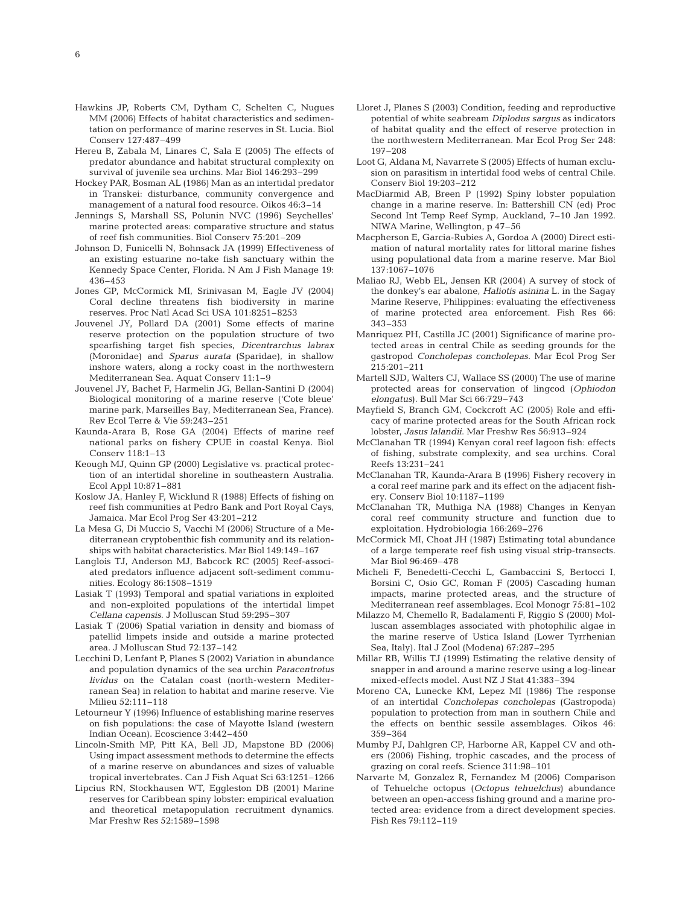- Hawkins JP, Roberts CM, Dytham C, Schelten C, Nugues MM (2006) Effects of habitat characteristics and sedimentation on performance of marine reserves in St. Lucia. Biol Conserv 127:487–499
- Hereu B, Zabala M, Linares C, Sala E (2005) The effects of predator abundance and habitat structural complexity on survival of juvenile sea urchins. Mar Biol 146:293–299
- Hockey PAR, Bosman AL (1986) Man as an intertidal predator in Transkei: disturbance, community convergence and management of a natural food resource. Oikos 46:3–14
- Jennings S, Marshall SS, Polunin NVC (1996) Seychelles' marine protected areas: comparative structure and status of reef fish communities. Biol Conserv 75:201–209
- Johnson D, Funicelli N, Bohnsack JA (1999) Effectiveness of an existing estuarine no-take fish sanctuary within the Kennedy Space Center, Florida. N Am J Fish Manage 19: 436–453
- Jones GP, McCormick MI, Srinivasan M, Eagle JV (2004) Coral decline threatens fish biodiversity in marine reserves. Proc Natl Acad Sci USA 101:8251–8253
- Jouvenel JY, Pollard DA (2001) Some effects of marine reserve protection on the population structure of two spearfishing target fish species, *Dicentrarchus labrax* (Moronidae) and *Sparus aurata* (Sparidae), in shallow inshore waters, along a rocky coast in the northwestern Mediterranean Sea. Aquat Conserv 11:1–9
- Jouvenel JY, Bachet F, Harmelin JG, Bellan-Santini D (2004) Biological monitoring of a marine reserve ('Cote bleue' marine park, Marseilles Bay, Mediterranean Sea, France). Rev Ecol Terre & Vie 59:243–251
- Kaunda-Arara B, Rose GA (2004) Effects of marine reef national parks on fishery CPUE in coastal Kenya. Biol Conserv 118:1–13
- Keough MJ, Quinn GP (2000) Legislative vs. practical protection of an intertidal shoreline in southeastern Australia. Ecol Appl 10:871–881
- Koslow JA, Hanley F, Wicklund R (1988) Effects of fishing on reef fish communities at Pedro Bank and Port Royal Cays, Jamaica. Mar Ecol Prog Ser 43:201–212
- La Mesa G, Di Muccio S, Vacchi M (2006) Structure of a Mediterranean cryptobenthic fish community and its relationships with habitat characteristics. Mar Biol 149:149–167
- Langlois TJ, Anderson MJ, Babcock RC (2005) Reef-associated predators influence adjacent soft-sediment communities. Ecology 86:1508–1519
- Lasiak T (1993) Temporal and spatial variations in exploited and non-exploited populations of the intertidal limpet *Cellana capensis*. J Molluscan Stud 59:295–307
- Lasiak T (2006) Spatial variation in density and biomass of patellid limpets inside and outside a marine protected area. J Molluscan Stud 72:137–142
- Lecchini D, Lenfant P, Planes S (2002) Variation in abundance and population dynamics of the sea urchin *Paracentrotus lividus* on the Catalan coast (north-western Mediterranean Sea) in relation to habitat and marine reserve. Vie Milieu 52:111–118
- Letourneur Y (1996) Influence of establishing marine reserves on fish populations: the case of Mayotte Island (western Indian Ocean). Ecoscience 3:442–450
- Lincoln-Smith MP, Pitt KA, Bell JD, Mapstone BD (2006) Using impact assessment methods to determine the effects of a marine reserve on abundances and sizes of valuable tropical invertebrates. Can J Fish Aquat Sci 63:1251–1266
- Lipcius RN, Stockhausen WT, Eggleston DB (2001) Marine reserves for Caribbean spiny lobster: empirical evaluation and theoretical metapopulation recruitment dynamics. Mar Freshw Res 52:1589–1598
- Lloret J, Planes S (2003) Condition, feeding and reproductive potential of white seabream *Diplodus sargus* as indicators of habitat quality and the effect of reserve protection in the northwestern Mediterranean. Mar Ecol Prog Ser 248: 197–208
- Loot G, Aldana M, Navarrete S (2005) Effects of human exclusion on parasitism in intertidal food webs of central Chile. Conserv Biol 19:203–212
- MacDiarmid AB, Breen P (1992) Spiny lobster population change in a marine reserve. In: Battershill CN (ed) Proc Second Int Temp Reef Symp, Auckland, 7–10 Jan 1992. NIWA Marine, Wellington, p 47–56
- Macpherson E, Garcia-Rubies A, Gordoa A (2000) Direct estimation of natural mortality rates for littoral marine fishes using populational data from a marine reserve. Mar Biol 137:1067–1076
- Maliao RJ, Webb EL, Jensen KR (2004) A survey of stock of the donkey's ear abalone, *Haliotis asinina* L. in the Sagay Marine Reserve, Philippines: evaluating the effectiveness of marine protected area enforcement. Fish Res 66: 343–353
- Manriquez PH, Castilla JC (2001) Significance of marine protected areas in central Chile as seeding grounds for the gastropod *Concholepas concholepas*. Mar Ecol Prog Ser 215:201–211
- Martell SJD, Walters CJ, Wallace SS (2000) The use of marine protected areas for conservation of lingcod (*Ophiodon elongatus*). Bull Mar Sci 66:729–743
- Mayfield S, Branch GM, Cockcroft AC (2005) Role and efficacy of marine protected areas for the South African rock lobster, *Jasus lalandii*. Mar Freshw Res 56:913–924
- McClanahan TR (1994) Kenyan coral reef lagoon fish: effects of fishing, substrate complexity, and sea urchins. Coral Reefs 13:231–241
- McClanahan TR, Kaunda-Arara B (1996) Fishery recovery in a coral reef marine park and its effect on the adjacent fishery. Conserv Biol 10:1187–1199
- McClanahan TR, Muthiga NA (1988) Changes in Kenyan coral reef community structure and function due to exploitation. Hydrobiologia 166:269–276
- McCormick MI, Choat JH (1987) Estimating total abundance of a large temperate reef fish using visual strip-transects. Mar Biol 96:469–478
- Micheli F, Benedetti-Cecchi L, Gambaccini S, Bertocci I, Borsini C, Osio GC, Roman F (2005) Cascading human impacts, marine protected areas, and the structure of Mediterranean reef assemblages. Ecol Monogr 75:81–102
- Milazzo M, Chemello R, Badalamenti F, Riggio S (2000) Molluscan assemblages associated with photophilic algae in the marine reserve of Ustica Island (Lower Tyrrhenian Sea, Italy). Ital J Zool (Modena) 67:287–295
- Millar RB, Willis TJ (1999) Estimating the relative density of snapper in and around a marine reserve using a log-linear mixed-effects model. Aust NZ J Stat 41:383–394
- Moreno CA, Lunecke KM, Lepez MI (1986) The response of an intertidal *Concholepas concholepas* (Gastropoda) population to protection from man in southern Chile and the effects on benthic sessile assemblages. Oikos 46: 359–364
- Mumby PJ, Dahlgren CP, Harborne AR, Kappel CV and others (2006) Fishing, trophic cascades, and the process of grazing on coral reefs. Science 311:98–101
- Narvarte M, Gonzalez R, Fernandez M (2006) Comparison of Tehuelche octopus (*Octopus tehuelchus*) abundance between an open-access fishing ground and a marine protected area: evidence from a direct development species. Fish Res 79:112–119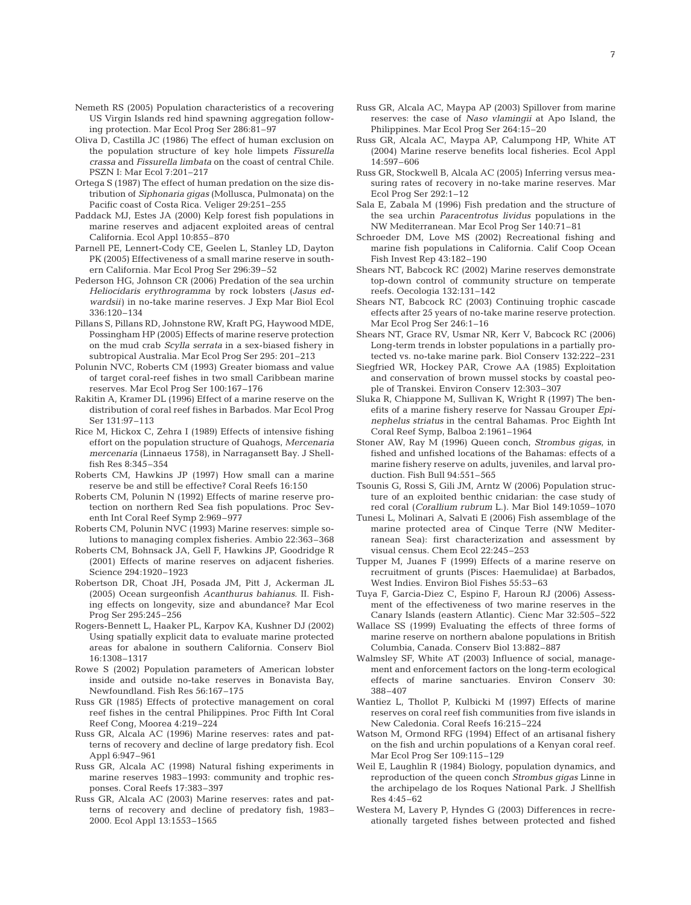- Nemeth RS (2005) Population characteristics of a recovering US Virgin Islands red hind spawning aggregation following protection. Mar Ecol Prog Ser 286:81–97
- Oliva D, Castilla JC (1986) The effect of human exclusion on the population structure of key hole limpets *Fissurella crassa* and *Fissurella limbata* on the coast of central Chile. PSZN I: Mar Ecol 7:201–217
- Ortega S (1987) The effect of human predation on the size distribution of *Siphonaria gigas* (Mollusca, Pulmonata) on the Pacific coast of Costa Rica. Veliger 29:251–255
- Paddack MJ, Estes JA (2000) Kelp forest fish populations in marine reserves and adjacent exploited areas of central California. Ecol Appl 10:855–870
- Parnell PE, Lennert-Cody CE, Geelen L, Stanley LD, Dayton PK (2005) Effectiveness of a small marine reserve in southern California. Mar Ecol Prog Ser 296:39–52
- Pederson HG, Johnson CR (2006) Predation of the sea urchin *Heliocidaris erythrogramma* by rock lobsters (*Jasus edwardsii*) in no-take marine reserves. J Exp Mar Biol Ecol 336:120–134
- Pillans S, Pillans RD, Johnstone RW, Kraft PG, Haywood MDE, Possingham HP (2005) Effects of marine reserve protection on the mud crab *Scylla serrata* in a sex-biased fishery in subtropical Australia. Mar Ecol Prog Ser 295: 201–213
- Polunin NVC, Roberts CM (1993) Greater biomass and value of target coral-reef fishes in two small Caribbean marine reserves. Mar Ecol Prog Ser 100:167–176
- Rakitin A, Kramer DL (1996) Effect of a marine reserve on the distribution of coral reef fishes in Barbados. Mar Ecol Prog Ser 131:97–113
- Rice M, Hickox C, Zehra I (1989) Effects of intensive fishing effort on the population structure of Quahogs, *Mercenaria mercenaria* (Linnaeus 1758), in Narragansett Bay. J Shellfish Res 8:345–354
- Roberts CM, Hawkins JP (1997) How small can a marine reserve be and still be effective? Coral Reefs 16:150
- Roberts CM, Polunin N (1992) Effects of marine reserve protection on northern Red Sea fish populations. Proc Seventh Int Coral Reef Symp 2:969–977
- Roberts CM, Polunin NVC (1993) Marine reserves: simple solutions to managing complex fisheries. Ambio 22:363–368
- Roberts CM, Bohnsack JA, Gell F, Hawkins JP, Goodridge R (2001) Effects of marine reserves on adjacent fisheries. Science 294:1920–1923
- Robertson DR, Choat JH, Posada JM, Pitt J, Ackerman JL (2005) Ocean surgeonfish *Acanthurus bahianus*. II. Fishing effects on longevity, size and abundance? Mar Ecol Prog Ser 295:245–256
- Rogers-Bennett L, Haaker PL, Karpov KA, Kushner DJ (2002) Using spatially explicit data to evaluate marine protected areas for abalone in southern California. Conserv Biol 16:1308–1317
- Rowe S (2002) Population parameters of American lobster inside and outside no-take reserves in Bonavista Bay, Newfoundland. Fish Res 56:167–175
- Russ GR (1985) Effects of protective management on coral reef fishes in the central Philippines. Proc Fifth Int Coral Reef Cong, Moorea 4:219–224
- Russ GR, Alcala AC (1996) Marine reserves: rates and patterns of recovery and decline of large predatory fish. Ecol Appl 6:947–961
- Russ GR, Alcala AC (1998) Natural fishing experiments in marine reserves 1983–1993: community and trophic responses. Coral Reefs 17:383–397
- Russ GR, Alcala AC (2003) Marine reserves: rates and patterns of recovery and decline of predatory fish, 1983– 2000. Ecol Appl 13:1553–1565
- Russ GR, Alcala AC, Maypa AP (2003) Spillover from marine reserves: the case of *Naso vlamingii* at Apo Island, the Philippines. Mar Ecol Prog Ser 264:15–20
- Russ GR, Alcala AC, Maypa AP, Calumpong HP, White AT (2004) Marine reserve benefits local fisheries. Ecol Appl 14:597–606
- Russ GR, Stockwell B, Alcala AC (2005) Inferring versus measuring rates of recovery in no-take marine reserves. Mar Ecol Prog Ser 292:1–12
- Sala E, Zabala M (1996) Fish predation and the structure of the sea urchin *Paracentrotus lividus* populations in the NW Mediterranean. Mar Ecol Prog Ser 140:71–81
- Schroeder DM, Love MS (2002) Recreational fishing and marine fish populations in California. Calif Coop Ocean Fish Invest Rep 43:182–190
- Shears NT, Babcock RC (2002) Marine reserves demonstrate top-down control of community structure on temperate reefs. Oecologia 132:131–142
- Shears NT, Babcock RC (2003) Continuing trophic cascade effects after 25 years of no-take marine reserve protection. Mar Ecol Prog Ser 246:1–16
- Shears NT, Grace RV, Usmar NR, Kerr V, Babcock RC (2006) Long-term trends in lobster populations in a partially protected vs. no-take marine park. Biol Conserv 132:222–231
- Siegfried WR, Hockey PAR, Crowe AA (1985) Exploitation and conservation of brown mussel stocks by coastal people of Transkei. Environ Conserv 12:303–307
- Sluka R, Chiappone M, Sullivan K, Wright R (1997) The benefits of a marine fishery reserve for Nassau Grouper *Epinephelus striatus* in the central Bahamas. Proc Eighth Int Coral Reef Symp, Balboa 2:1961–1964
- Stoner AW, Ray M (1996) Queen conch, *Strombus gigas*, in fished and unfished locations of the Bahamas: effects of a marine fishery reserve on adults, juveniles, and larval production. Fish Bull 94:551–565
- Tsounis G, Rossi S, Gili JM, Arntz W (2006) Population structure of an exploited benthic cnidarian: the case study of red coral (*Corallium rubrum* L.). Mar Biol 149:1059–1070
- Tunesi L, Molinari A, Salvati E (2006) Fish assemblage of the marine protected area of Cinque Terre (NW Mediterranean Sea): first characterization and assessment by visual census. Chem Ecol 22:245–253
- Tupper M, Juanes F (1999) Effects of a marine reserve on recruitment of grunts (Pisces: Haemulidae) at Barbados, West Indies. Environ Biol Fishes 55:53–63
- Tuya F, Garcia-Diez C, Espino F, Haroun RJ (2006) Assessment of the effectiveness of two marine reserves in the Canary Islands (eastern Atlantic). Cienc Mar 32:505–522
- Wallace SS (1999) Evaluating the effects of three forms of marine reserve on northern abalone populations in British Columbia, Canada. Conserv Biol 13:882–887
- Walmsley SF, White AT (2003) Influence of social, management and enforcement factors on the long-term ecological effects of marine sanctuaries. Environ Conserv 30: 388–407
- Wantiez L, Thollot P, Kulbicki M (1997) Effects of marine reserves on coral reef fish communities from five islands in New Caledonia. Coral Reefs 16:215–224
- Watson M, Ormond RFG (1994) Effect of an artisanal fishery on the fish and urchin populations of a Kenyan coral reef. Mar Ecol Prog Ser 109:115–129
- Weil E, Laughlin R (1984) Biology, population dynamics, and reproduction of the queen conch *Strombus gigas* Linne in the archipelago de los Roques National Park. J Shellfish Res 4:45–62
- Westera M, Lavery P, Hyndes G (2003) Differences in recreationally targeted fishes between protected and fished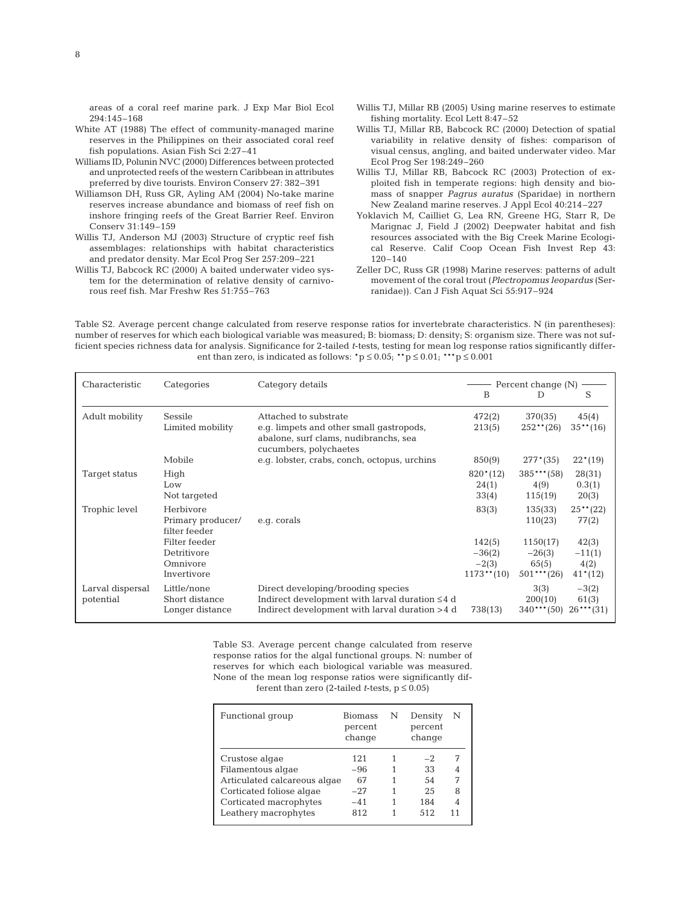areas of a coral reef marine park. J Exp Mar Biol Ecol 294:145–168

- White AT (1988) The effect of community-managed marine reserves in the Philippines on their associated coral reef fish populations. Asian Fish Sci 2:27–41
- Williams ID, Polunin NVC (2000) Differences between protected and unprotected reefs of the western Caribbean in attributes preferred by dive tourists. Environ Conserv 27: 382–391
- Williamson DH, Russ GR, Ayling AM (2004) No-take marine reserves increase abundance and biomass of reef fish on inshore fringing reefs of the Great Barrier Reef. Environ Conserv 31:149–159
- Willis TJ, Anderson MJ (2003) Structure of cryptic reef fish assemblages: relationships with habitat characteristics and predator density. Mar Ecol Prog Ser 257:209–221
- Willis TJ, Babcock RC (2000) A baited underwater video system for the determination of relative density of carnivorous reef fish. Mar Freshw Res 51:755–763
- Willis TJ, Millar RB (2005) Using marine reserves to estimate fishing mortality. Ecol Lett 8:47–52
- Willis TJ, Millar RB, Babcock RC (2000) Detection of spatial variability in relative density of fishes: comparison of visual census, angling, and baited underwater video. Mar Ecol Prog Ser 198:249–260
- Willis TJ, Millar RB, Babcock RC (2003) Protection of exploited fish in temperate regions: high density and biomass of snapper *Pagrus auratus* (Sparidae) in northern New Zealand marine reserves. J Appl Ecol 40:214–227
- Yoklavich M, Cailliet G, Lea RN, Greene HG, Starr R, De Marignac J, Field J (2002) Deepwater habitat and fish resources associated with the Big Creek Marine Ecological Reserve. Calif Coop Ocean Fish Invest Rep 43: 120–140
- Zeller DC, Russ GR (1998) Marine reserves: patterns of adult movement of the coral trout (*Plectropomus leopardus* (Serranidae)). Can J Fish Aquat Sci 55:917–924

Table S2. Average percent change calculated from reserve response ratios for invertebrate characteristics. N (in parentheses): number of reserves for which each biological variable was measured; B: biomass; D: density; S: organism size. There was not sufficient species richness data for analysis. Significance for 2-tailed *t*-tests, testing for mean log response ratios significantly different than zero, is indicated as follows:  $\mathbf{p} \leq 0.05$ ;  $\mathbf{p} \leq 0.01$ ;  $\mathbf{p} \leq 0.001$ 

| Characteristic                | Categories                                       | Category details                                                                                                                             | B                            | Percent change (N)<br>D          | S                               |
|-------------------------------|--------------------------------------------------|----------------------------------------------------------------------------------------------------------------------------------------------|------------------------------|----------------------------------|---------------------------------|
| Adult mobility                | Sessile<br>Limited mobility                      | Attached to substrate<br>e.g. limpets and other small gastropods,<br>abalone, surf clams, nudibranchs, sea<br>cucumbers, polychaetes         | 472(2)<br>213(5)             | 370(35)<br>$252**$ (26)          | 45(4)<br>$35**$ (16)            |
|                               | Mobile                                           | e.g. lobster, crabs, conch, octopus, urchins                                                                                                 | 850(9)                       | $277*(35)$                       | $22*(19)$                       |
| Target status                 | High<br>Low<br>Not targeted                      |                                                                                                                                              | $820*(12)$<br>24(1)<br>33(4) | $385***$ (58)<br>4(9)<br>115(19) | 28(31)<br>0.3(1)<br>20(3)       |
| Trophic level                 | Herbivore<br>Primary producer/<br>filter feeder  | e.g. corals                                                                                                                                  | 83(3)                        | 135(33)<br>110(23)               | $25**$ (22)<br>77(2)            |
|                               | Filter feeder                                    |                                                                                                                                              | 142(5)                       | 1150(17)                         | 42(3)                           |
|                               | Detritivore                                      |                                                                                                                                              | $-36(2)$                     | $-26(3)$                         | $-11(1)$                        |
|                               | Omnivore<br>Invertivore                          |                                                                                                                                              | $-2(3)$<br>$1173**$ (10)     | 65(5)<br>$501***$ (26)           | 4(2)<br>$41*(12)$               |
| Larval dispersal<br>potential | Little/none<br>Short distance<br>Longer distance | Direct developing/brooding species<br>Indirect development with larval duration $\leq 4$ d<br>Indirect development with larval duration >4 d | 738(13)                      | 3(3)<br>200(10)<br>$340***$ (50) | $-3(2)$<br>61(3)<br>$26***(31)$ |

Table S3. Average percent change calculated from reserve response ratios for the algal functional groups. N: number of reserves for which each biological variable was measured. None of the mean log response ratios were significantly different than zero (2-tailed *t*-tests,  $p \le 0.05$ )

| Functional group             | <b>Biomass</b><br>percent<br>change | N | Density<br>percent<br>change | N |
|------------------------------|-------------------------------------|---|------------------------------|---|
| Crustose algae               | 121                                 |   | $-2$                         |   |
| Filamentous algae            | $-96$                               |   | 33                           |   |
| Articulated calcareous algae | 67                                  |   | 54                           |   |
| Corticated foliose algae     | $-27$                               |   | 2.5                          | 8 |
| Corticated macrophytes       | $-41$                               |   | 184                          |   |
| Leathery macrophytes         | 812                                 |   | 512                          |   |